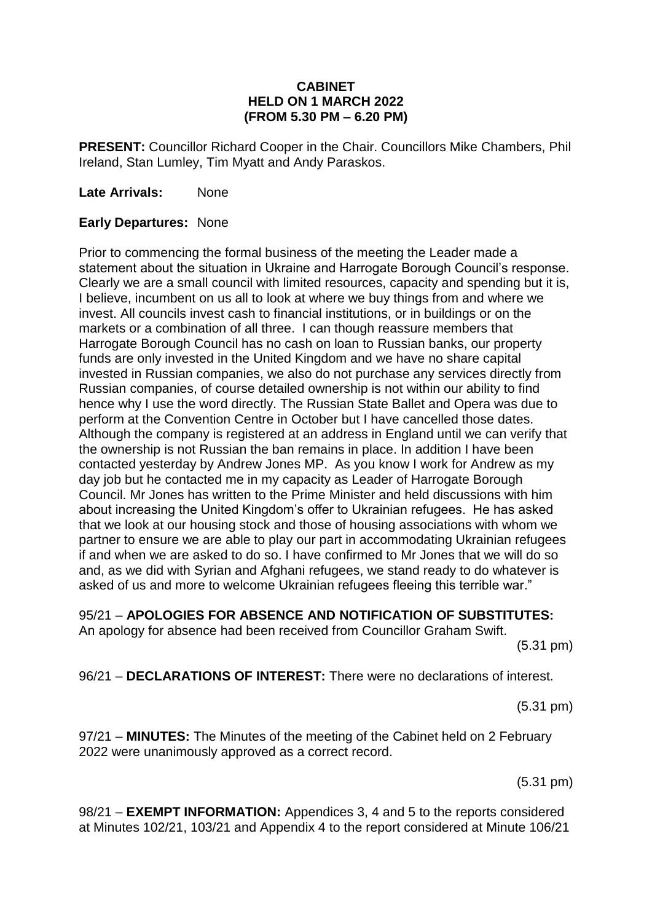#### **CABINET HELD ON 1 MARCH 2022 (FROM 5.30 PM – 6.20 PM)**

**PRESENT:** Councillor Richard Cooper in the Chair. Councillors Mike Chambers, Phil Ireland, Stan Lumley, Tim Myatt and Andy Paraskos.

**Late Arrivals:** None

#### **Early Departures:** None

Prior to commencing the formal business of the meeting the Leader made a statement about the situation in Ukraine and Harrogate Borough Council's response. Clearly we are a small council with limited resources, capacity and spending but it is, I believe, incumbent on us all to look at where we buy things from and where we invest. All councils invest cash to financial institutions, or in buildings or on the markets or a combination of all three. I can though reassure members that Harrogate Borough Council has no cash on loan to Russian banks, our property funds are only invested in the United Kingdom and we have no share capital invested in Russian companies, we also do not purchase any services directly from Russian companies, of course detailed ownership is not within our ability to find hence why I use the word directly. The Russian State Ballet and Opera was due to perform at the Convention Centre in October but I have cancelled those dates. Although the company is registered at an address in England until we can verify that the ownership is not Russian the ban remains in place. In addition I have been contacted yesterday by Andrew Jones MP. As you know I work for Andrew as my day job but he contacted me in my capacity as Leader of Harrogate Borough Council. Mr Jones has written to the Prime Minister and held discussions with him about increasing the United Kingdom's offer to Ukrainian refugees. He has asked that we look at our housing stock and those of housing associations with whom we partner to ensure we are able to play our part in accommodating Ukrainian refugees if and when we are asked to do so. I have confirmed to Mr Jones that we will do so and, as we did with Syrian and Afghani refugees, we stand ready to do whatever is asked of us and more to welcome Ukrainian refugees fleeing this terrible war."

95/21 – **APOLOGIES FOR ABSENCE AND NOTIFICATION OF SUBSTITUTES:**

An apology for absence had been received from Councillor Graham Swift.

(5.31 pm)

96/21 – **DECLARATIONS OF INTEREST:** There were no declarations of interest.

(5.31 pm)

97/21 – **MINUTES:** The Minutes of the meeting of the Cabinet held on 2 February 2022 were unanimously approved as a correct record.

(5.31 pm)

98/21 – **EXEMPT INFORMATION:** Appendices 3, 4 and 5 to the reports considered at Minutes 102/21, 103/21 and Appendix 4 to the report considered at Minute 106/21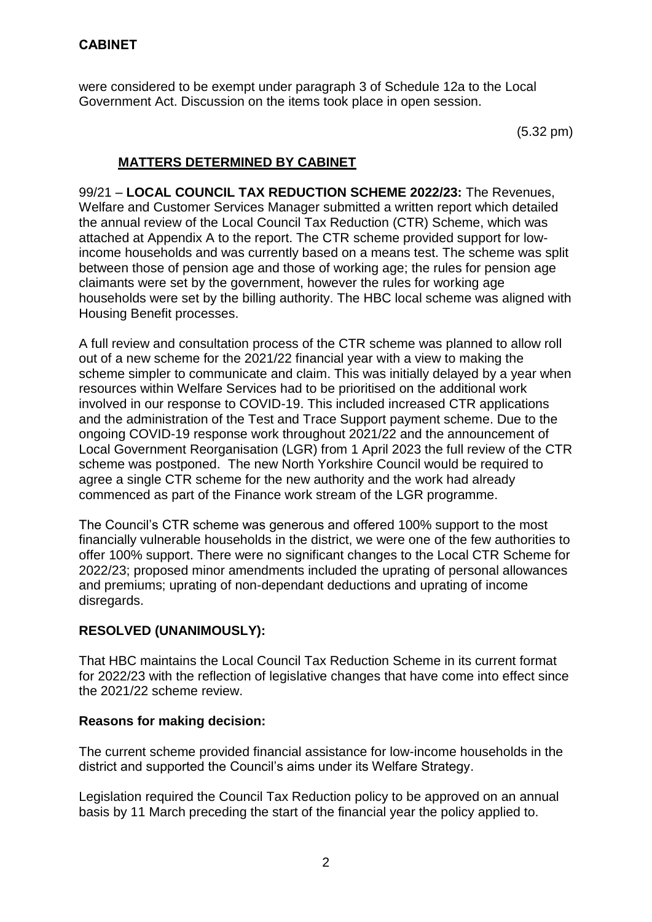were considered to be exempt under paragraph 3 of Schedule 12a to the Local Government Act. Discussion on the items took place in open session.

(5.32 pm)

## **MATTERS DETERMINED BY CABINET**

99/21 – **LOCAL COUNCIL TAX REDUCTION SCHEME 2022/23:** The Revenues, Welfare and Customer Services Manager submitted a written report which detailed the annual review of the Local Council Tax Reduction (CTR) Scheme, which was attached at Appendix A to the report. The CTR scheme provided support for lowincome households and was currently based on a means test. The scheme was split between those of pension age and those of working age; the rules for pension age claimants were set by the government, however the rules for working age households were set by the billing authority. The HBC local scheme was aligned with Housing Benefit processes.

A full review and consultation process of the CTR scheme was planned to allow roll out of a new scheme for the 2021/22 financial year with a view to making the scheme simpler to communicate and claim. This was initially delayed by a year when resources within Welfare Services had to be prioritised on the additional work involved in our response to COVID-19. This included increased CTR applications and the administration of the Test and Trace Support payment scheme. Due to the ongoing COVID-19 response work throughout 2021/22 and the announcement of Local Government Reorganisation (LGR) from 1 April 2023 the full review of the CTR scheme was postponed. The new North Yorkshire Council would be required to agree a single CTR scheme for the new authority and the work had already commenced as part of the Finance work stream of the LGR programme.

The Council's CTR scheme was generous and offered 100% support to the most financially vulnerable households in the district, we were one of the few authorities to offer 100% support. There were no significant changes to the Local CTR Scheme for 2022/23; proposed minor amendments included the uprating of personal allowances and premiums; uprating of non-dependant deductions and uprating of income disregards.

## **RESOLVED (UNANIMOUSLY):**

That HBC maintains the Local Council Tax Reduction Scheme in its current format for 2022/23 with the reflection of legislative changes that have come into effect since the 2021/22 scheme review.

## **Reasons for making decision:**

The current scheme provided financial assistance for low-income households in the district and supported the Council's aims under its Welfare Strategy.

Legislation required the Council Tax Reduction policy to be approved on an annual basis by 11 March preceding the start of the financial year the policy applied to.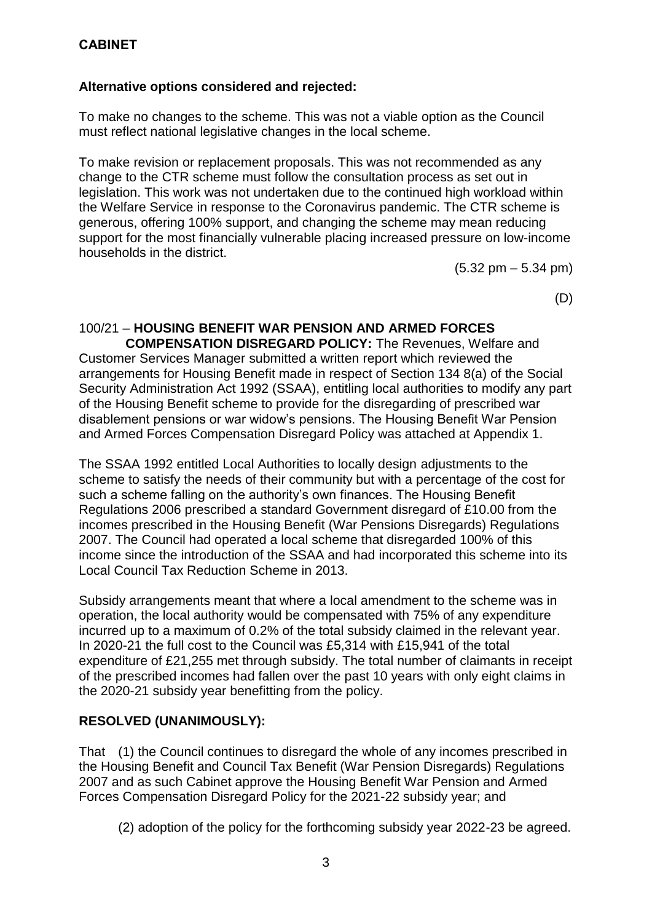## **Alternative options considered and rejected:**

To make no changes to the scheme. This was not a viable option as the Council must reflect national legislative changes in the local scheme.

To make revision or replacement proposals. This was not recommended as any change to the CTR scheme must follow the consultation process as set out in legislation. This work was not undertaken due to the continued high workload within the Welfare Service in response to the Coronavirus pandemic. The CTR scheme is generous, offering 100% support, and changing the scheme may mean reducing support for the most financially vulnerable placing increased pressure on low-income households in the district.

 $(5.32 \text{ pm} - 5.34 \text{ pm})$ 

(D)

# 100/21 – **HOUSING BENEFIT WAR PENSION AND ARMED FORCES**

 **COMPENSATION DISREGARD POLICY:** The Revenues, Welfare and Customer Services Manager submitted a written report which reviewed the arrangements for Housing Benefit made in respect of Section 134 8(a) of the Social Security Administration Act 1992 (SSAA), entitling local authorities to modify any part of the Housing Benefit scheme to provide for the disregarding of prescribed war disablement pensions or war widow's pensions. The Housing Benefit War Pension and Armed Forces Compensation Disregard Policy was attached at Appendix 1.

The SSAA 1992 entitled Local Authorities to locally design adjustments to the scheme to satisfy the needs of their community but with a percentage of the cost for such a scheme falling on the authority's own finances. The Housing Benefit Regulations 2006 prescribed a standard Government disregard of £10.00 from the incomes prescribed in the Housing Benefit (War Pensions Disregards) Regulations 2007. The Council had operated a local scheme that disregarded 100% of this income since the introduction of the SSAA and had incorporated this scheme into its Local Council Tax Reduction Scheme in 2013.

Subsidy arrangements meant that where a local amendment to the scheme was in operation, the local authority would be compensated with 75% of any expenditure incurred up to a maximum of 0.2% of the total subsidy claimed in the relevant year. In 2020-21 the full cost to the Council was £5,314 with £15,941 of the total expenditure of £21,255 met through subsidy. The total number of claimants in receipt of the prescribed incomes had fallen over the past 10 years with only eight claims in the 2020-21 subsidy year benefitting from the policy.

## **RESOLVED (UNANIMOUSLY):**

That (1) the Council continues to disregard the whole of any incomes prescribed in the Housing Benefit and Council Tax Benefit (War Pension Disregards) Regulations 2007 and as such Cabinet approve the Housing Benefit War Pension and Armed Forces Compensation Disregard Policy for the 2021-22 subsidy year; and

(2) adoption of the policy for the forthcoming subsidy year 2022-23 be agreed.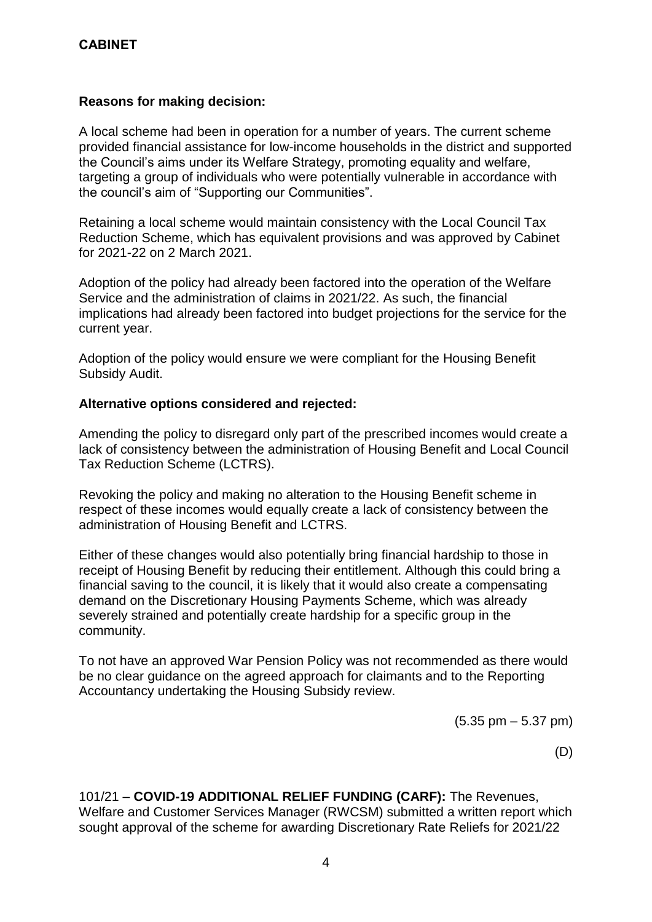#### **Reasons for making decision:**

A local scheme had been in operation for a number of years. The current scheme provided financial assistance for low-income households in the district and supported the Council's aims under its Welfare Strategy, promoting equality and welfare, targeting a group of individuals who were potentially vulnerable in accordance with the council's aim of "Supporting our Communities".

Retaining a local scheme would maintain consistency with the Local Council Tax Reduction Scheme, which has equivalent provisions and was approved by Cabinet for 2021-22 on 2 March 2021.

Adoption of the policy had already been factored into the operation of the Welfare Service and the administration of claims in 2021/22. As such, the financial implications had already been factored into budget projections for the service for the current year.

Adoption of the policy would ensure we were compliant for the Housing Benefit Subsidy Audit.

#### **Alternative options considered and rejected:**

Amending the policy to disregard only part of the prescribed incomes would create a lack of consistency between the administration of Housing Benefit and Local Council Tax Reduction Scheme (LCTRS).

Revoking the policy and making no alteration to the Housing Benefit scheme in respect of these incomes would equally create a lack of consistency between the administration of Housing Benefit and LCTRS.

Either of these changes would also potentially bring financial hardship to those in receipt of Housing Benefit by reducing their entitlement. Although this could bring a financial saving to the council, it is likely that it would also create a compensating demand on the Discretionary Housing Payments Scheme, which was already severely strained and potentially create hardship for a specific group in the community.

To not have an approved War Pension Policy was not recommended as there would be no clear guidance on the agreed approach for claimants and to the Reporting Accountancy undertaking the Housing Subsidy review.

(5.35 pm – 5.37 pm)

(D)

101/21 – **COVID-19 ADDITIONAL RELIEF FUNDING (CARF):** The Revenues, Welfare and Customer Services Manager (RWCSM) submitted a written report which sought approval of the scheme for awarding Discretionary Rate Reliefs for 2021/22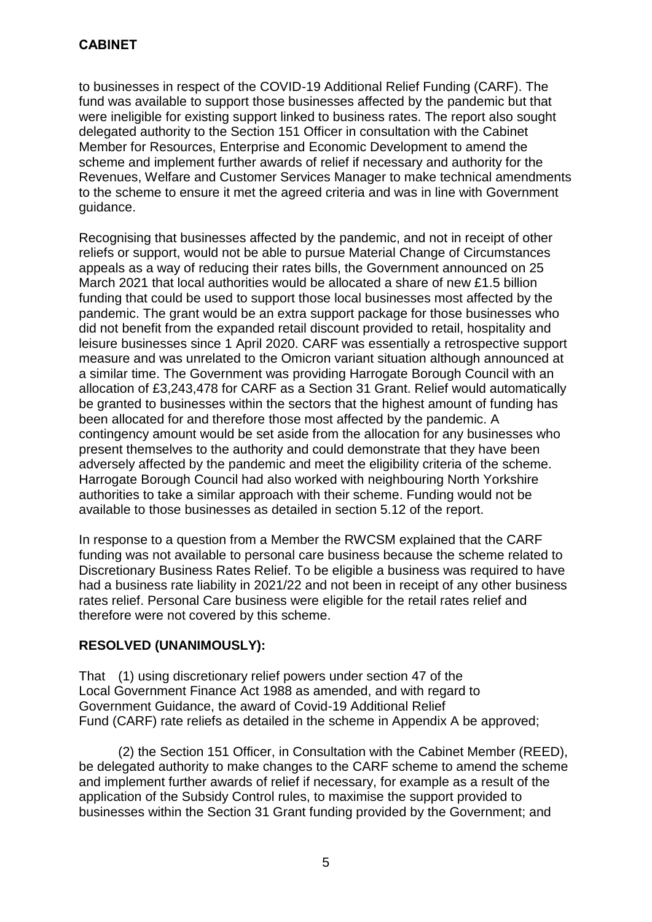to businesses in respect of the COVID-19 Additional Relief Funding (CARF). The fund was available to support those businesses affected by the pandemic but that were ineligible for existing support linked to business rates. The report also sought delegated authority to the Section 151 Officer in consultation with the Cabinet Member for Resources, Enterprise and Economic Development to amend the scheme and implement further awards of relief if necessary and authority for the Revenues, Welfare and Customer Services Manager to make technical amendments to the scheme to ensure it met the agreed criteria and was in line with Government guidance.

Recognising that businesses affected by the pandemic, and not in receipt of other reliefs or support, would not be able to pursue Material Change of Circumstances appeals as a way of reducing their rates bills, the Government announced on 25 March 2021 that local authorities would be allocated a share of new £1.5 billion funding that could be used to support those local businesses most affected by the pandemic. The grant would be an extra support package for those businesses who did not benefit from the expanded retail discount provided to retail, hospitality and leisure businesses since 1 April 2020. CARF was essentially a retrospective support measure and was unrelated to the Omicron variant situation although announced at a similar time. The Government was providing Harrogate Borough Council with an allocation of £3,243,478 for CARF as a Section 31 Grant. Relief would automatically be granted to businesses within the sectors that the highest amount of funding has been allocated for and therefore those most affected by the pandemic. A contingency amount would be set aside from the allocation for any businesses who present themselves to the authority and could demonstrate that they have been adversely affected by the pandemic and meet the eligibility criteria of the scheme. Harrogate Borough Council had also worked with neighbouring North Yorkshire authorities to take a similar approach with their scheme. Funding would not be available to those businesses as detailed in section 5.12 of the report.

In response to a question from a Member the RWCSM explained that the CARF funding was not available to personal care business because the scheme related to Discretionary Business Rates Relief. To be eligible a business was required to have had a business rate liability in 2021/22 and not been in receipt of any other business rates relief. Personal Care business were eligible for the retail rates relief and therefore were not covered by this scheme.

## **RESOLVED (UNANIMOUSLY):**

That (1) using discretionary relief powers under section 47 of the Local Government Finance Act 1988 as amended, and with regard to Government Guidance, the award of Covid-19 Additional Relief Fund (CARF) rate reliefs as detailed in the scheme in Appendix A be approved;

(2) the Section 151 Officer, in Consultation with the Cabinet Member (REED), be delegated authority to make changes to the CARF scheme to amend the scheme and implement further awards of relief if necessary, for example as a result of the application of the Subsidy Control rules, to maximise the support provided to businesses within the Section 31 Grant funding provided by the Government; and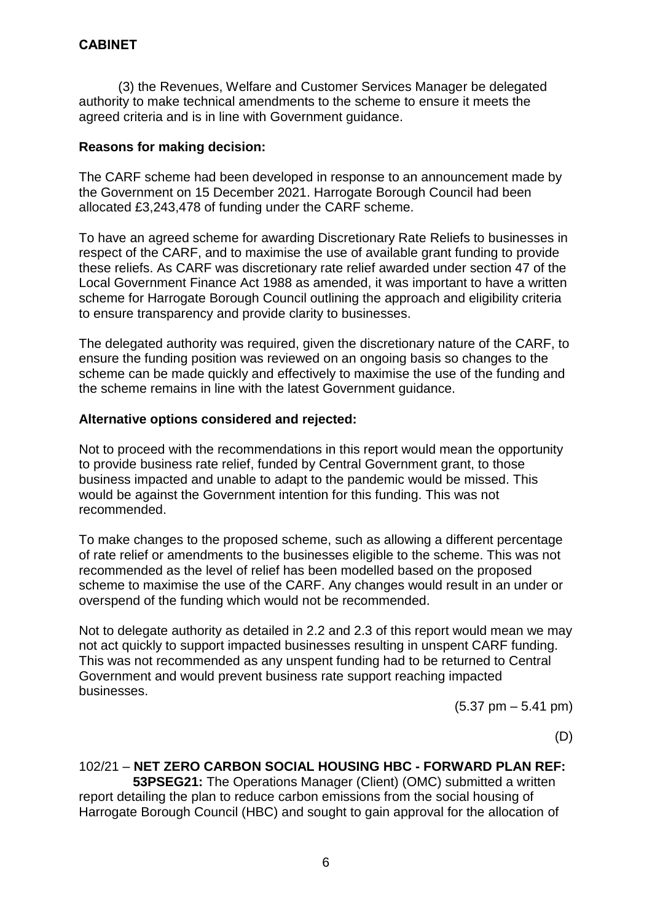(3) the Revenues, Welfare and Customer Services Manager be delegated authority to make technical amendments to the scheme to ensure it meets the agreed criteria and is in line with Government guidance.

#### **Reasons for making decision:**

The CARF scheme had been developed in response to an announcement made by the Government on 15 December 2021. Harrogate Borough Council had been allocated £3,243,478 of funding under the CARF scheme.

To have an agreed scheme for awarding Discretionary Rate Reliefs to businesses in respect of the CARF, and to maximise the use of available grant funding to provide these reliefs. As CARF was discretionary rate relief awarded under section 47 of the Local Government Finance Act 1988 as amended, it was important to have a written scheme for Harrogate Borough Council outlining the approach and eligibility criteria to ensure transparency and provide clarity to businesses.

The delegated authority was required, given the discretionary nature of the CARF, to ensure the funding position was reviewed on an ongoing basis so changes to the scheme can be made quickly and effectively to maximise the use of the funding and the scheme remains in line with the latest Government guidance.

#### **Alternative options considered and rejected:**

Not to proceed with the recommendations in this report would mean the opportunity to provide business rate relief, funded by Central Government grant, to those business impacted and unable to adapt to the pandemic would be missed. This would be against the Government intention for this funding. This was not recommended.

To make changes to the proposed scheme, such as allowing a different percentage of rate relief or amendments to the businesses eligible to the scheme. This was not recommended as the level of relief has been modelled based on the proposed scheme to maximise the use of the CARF. Any changes would result in an under or overspend of the funding which would not be recommended.

Not to delegate authority as detailed in 2.2 and 2.3 of this report would mean we may not act quickly to support impacted businesses resulting in unspent CARF funding. This was not recommended as any unspent funding had to be returned to Central Government and would prevent business rate support reaching impacted businesses.

 $(5.37 \text{ pm} - 5.41 \text{ pm})$ 

(D)

#### 102/21 – **NET ZERO CARBON SOCIAL HOUSING HBC - FORWARD PLAN REF:**

 **53PSEG21:** The Operations Manager (Client) (OMC) submitted a written report detailing the plan to reduce carbon emissions from the social housing of Harrogate Borough Council (HBC) and sought to gain approval for the allocation of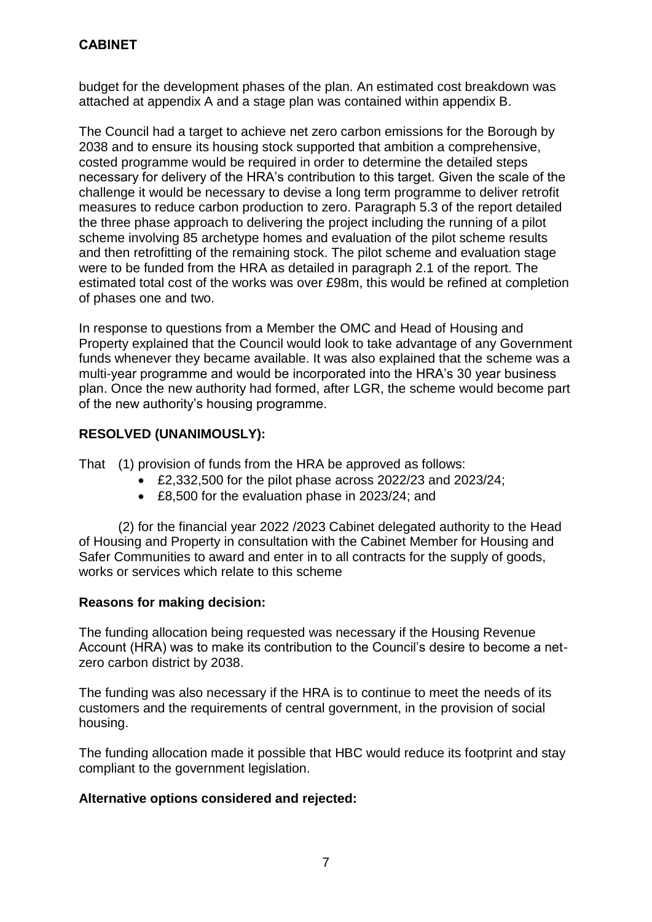budget for the development phases of the plan. An estimated cost breakdown was attached at appendix A and a stage plan was contained within appendix B.

The Council had a target to achieve net zero carbon emissions for the Borough by 2038 and to ensure its housing stock supported that ambition a comprehensive, costed programme would be required in order to determine the detailed steps necessary for delivery of the HRA's contribution to this target. Given the scale of the challenge it would be necessary to devise a long term programme to deliver retrofit measures to reduce carbon production to zero. Paragraph 5.3 of the report detailed the three phase approach to delivering the project including the running of a pilot scheme involving 85 archetype homes and evaluation of the pilot scheme results and then retrofitting of the remaining stock. The pilot scheme and evaluation stage were to be funded from the HRA as detailed in paragraph 2.1 of the report. The estimated total cost of the works was over £98m, this would be refined at completion of phases one and two.

In response to questions from a Member the OMC and Head of Housing and Property explained that the Council would look to take advantage of any Government funds whenever they became available. It was also explained that the scheme was a multi-year programme and would be incorporated into the HRA's 30 year business plan. Once the new authority had formed, after LGR, the scheme would become part of the new authority's housing programme.

## **RESOLVED (UNANIMOUSLY):**

That (1) provision of funds from the HRA be approved as follows:

- £2,332,500 for the pilot phase across 2022/23 and 2023/24;
- £8,500 for the evaluation phase in 2023/24; and

(2) for the financial year 2022 /2023 Cabinet delegated authority to the Head of Housing and Property in consultation with the Cabinet Member for Housing and Safer Communities to award and enter in to all contracts for the supply of goods, works or services which relate to this scheme

#### **Reasons for making decision:**

The funding allocation being requested was necessary if the Housing Revenue Account (HRA) was to make its contribution to the Council's desire to become a netzero carbon district by 2038.

The funding was also necessary if the HRA is to continue to meet the needs of its customers and the requirements of central government, in the provision of social housing.

The funding allocation made it possible that HBC would reduce its footprint and stay compliant to the government legislation.

## **Alternative options considered and rejected:**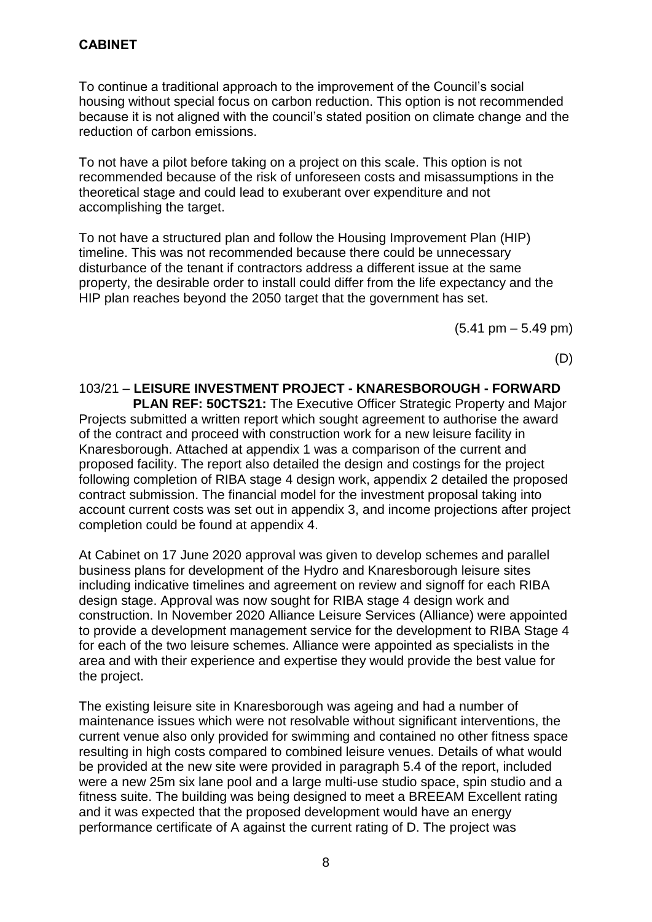To continue a traditional approach to the improvement of the Council's social housing without special focus on carbon reduction. This option is not recommended because it is not aligned with the council's stated position on climate change and the reduction of carbon emissions.

To not have a pilot before taking on a project on this scale. This option is not recommended because of the risk of unforeseen costs and misassumptions in the theoretical stage and could lead to exuberant over expenditure and not accomplishing the target.

To not have a structured plan and follow the Housing Improvement Plan (HIP) timeline. This was not recommended because there could be unnecessary disturbance of the tenant if contractors address a different issue at the same property, the desirable order to install could differ from the life expectancy and the HIP plan reaches beyond the 2050 target that the government has set.

 $(5.41 \text{ pm} - 5.49 \text{ pm})$ 

(D)

103/21 – **LEISURE INVESTMENT PROJECT - KNARESBOROUGH - FORWARD PLAN REF: 50CTS21:** The Executive Officer Strategic Property and Major Projects submitted a written report which sought agreement to authorise the award of the contract and proceed with construction work for a new leisure facility in Knaresborough. Attached at appendix 1 was a comparison of the current and proposed facility. The report also detailed the design and costings for the project following completion of RIBA stage 4 design work, appendix 2 detailed the proposed contract submission. The financial model for the investment proposal taking into account current costs was set out in appendix 3, and income projections after project completion could be found at appendix 4.

At Cabinet on 17 June 2020 approval was given to develop schemes and parallel business plans for development of the Hydro and Knaresborough leisure sites including indicative timelines and agreement on review and signoff for each RIBA design stage. Approval was now sought for RIBA stage 4 design work and construction. In November 2020 Alliance Leisure Services (Alliance) were appointed to provide a development management service for the development to RIBA Stage 4 for each of the two leisure schemes. Alliance were appointed as specialists in the area and with their experience and expertise they would provide the best value for the project.

The existing leisure site in Knaresborough was ageing and had a number of maintenance issues which were not resolvable without significant interventions, the current venue also only provided for swimming and contained no other fitness space resulting in high costs compared to combined leisure venues. Details of what would be provided at the new site were provided in paragraph 5.4 of the report, included were a new 25m six lane pool and a large multi-use studio space, spin studio and a fitness suite. The building was being designed to meet a BREEAM Excellent rating and it was expected that the proposed development would have an energy performance certificate of A against the current rating of D. The project was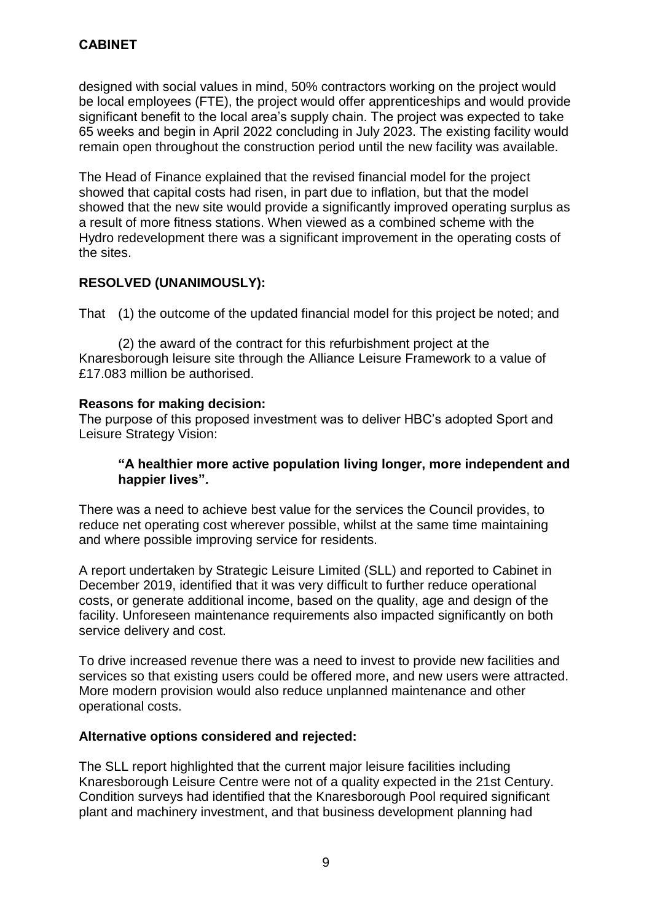designed with social values in mind, 50% contractors working on the project would be local employees (FTE), the project would offer apprenticeships and would provide significant benefit to the local area's supply chain. The project was expected to take 65 weeks and begin in April 2022 concluding in July 2023. The existing facility would remain open throughout the construction period until the new facility was available.

The Head of Finance explained that the revised financial model for the project showed that capital costs had risen, in part due to inflation, but that the model showed that the new site would provide a significantly improved operating surplus as a result of more fitness stations. When viewed as a combined scheme with the Hydro redevelopment there was a significant improvement in the operating costs of the sites.

## **RESOLVED (UNANIMOUSLY):**

That (1) the outcome of the updated financial model for this project be noted; and

(2) the award of the contract for this refurbishment project at the Knaresborough leisure site through the Alliance Leisure Framework to a value of £17.083 million be authorised.

#### **Reasons for making decision:**

The purpose of this proposed investment was to deliver HBC's adopted Sport and Leisure Strategy Vision:

#### **"A healthier more active population living longer, more independent and happier lives".**

There was a need to achieve best value for the services the Council provides, to reduce net operating cost wherever possible, whilst at the same time maintaining and where possible improving service for residents.

A report undertaken by Strategic Leisure Limited (SLL) and reported to Cabinet in December 2019, identified that it was very difficult to further reduce operational costs, or generate additional income, based on the quality, age and design of the facility. Unforeseen maintenance requirements also impacted significantly on both service delivery and cost.

To drive increased revenue there was a need to invest to provide new facilities and services so that existing users could be offered more, and new users were attracted. More modern provision would also reduce unplanned maintenance and other operational costs.

## **Alternative options considered and rejected:**

The SLL report highlighted that the current major leisure facilities including Knaresborough Leisure Centre were not of a quality expected in the 21st Century. Condition surveys had identified that the Knaresborough Pool required significant plant and machinery investment, and that business development planning had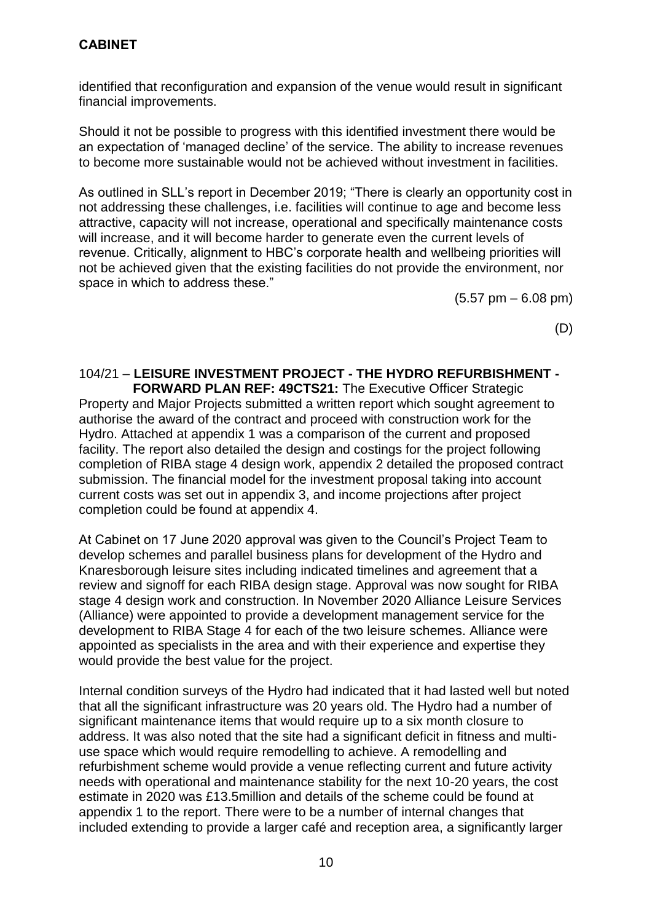identified that reconfiguration and expansion of the venue would result in significant financial improvements.

Should it not be possible to progress with this identified investment there would be an expectation of 'managed decline' of the service. The ability to increase revenues to become more sustainable would not be achieved without investment in facilities.

As outlined in SLL's report in December 2019; "There is clearly an opportunity cost in not addressing these challenges, i.e. facilities will continue to age and become less attractive, capacity will not increase, operational and specifically maintenance costs will increase, and it will become harder to generate even the current levels of revenue. Critically, alignment to HBC's corporate health and wellbeing priorities will not be achieved given that the existing facilities do not provide the environment, nor space in which to address these."

 $(5.57 \text{ pm} - 6.08 \text{ pm})$ 

(D)

# 104/21 – **LEISURE INVESTMENT PROJECT - THE HYDRO REFURBISHMENT -**

 **FORWARD PLAN REF: 49CTS21:** The Executive Officer Strategic Property and Major Projects submitted a written report which sought agreement to authorise the award of the contract and proceed with construction work for the Hydro. Attached at appendix 1 was a comparison of the current and proposed facility. The report also detailed the design and costings for the project following completion of RIBA stage 4 design work, appendix 2 detailed the proposed contract submission. The financial model for the investment proposal taking into account current costs was set out in appendix 3, and income projections after project completion could be found at appendix 4.

At Cabinet on 17 June 2020 approval was given to the Council's Project Team to develop schemes and parallel business plans for development of the Hydro and Knaresborough leisure sites including indicated timelines and agreement that a review and signoff for each RIBA design stage. Approval was now sought for RIBA stage 4 design work and construction. In November 2020 Alliance Leisure Services (Alliance) were appointed to provide a development management service for the development to RIBA Stage 4 for each of the two leisure schemes. Alliance were appointed as specialists in the area and with their experience and expertise they would provide the best value for the project.

Internal condition surveys of the Hydro had indicated that it had lasted well but noted that all the significant infrastructure was 20 years old. The Hydro had a number of significant maintenance items that would require up to a six month closure to address. It was also noted that the site had a significant deficit in fitness and multiuse space which would require remodelling to achieve. A remodelling and refurbishment scheme would provide a venue reflecting current and future activity needs with operational and maintenance stability for the next 10-20 years, the cost estimate in 2020 was £13.5million and details of the scheme could be found at appendix 1 to the report. There were to be a number of internal changes that included extending to provide a larger café and reception area, a significantly larger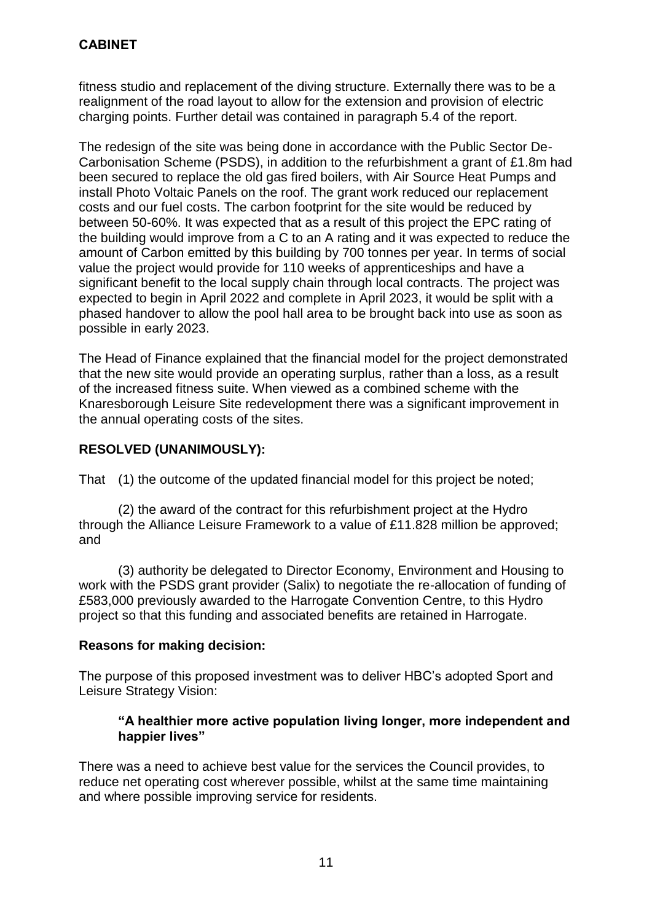fitness studio and replacement of the diving structure. Externally there was to be a realignment of the road layout to allow for the extension and provision of electric charging points. Further detail was contained in paragraph 5.4 of the report.

The redesign of the site was being done in accordance with the Public Sector De-Carbonisation Scheme (PSDS), in addition to the refurbishment a grant of £1.8m had been secured to replace the old gas fired boilers, with Air Source Heat Pumps and install Photo Voltaic Panels on the roof. The grant work reduced our replacement costs and our fuel costs. The carbon footprint for the site would be reduced by between 50-60%. It was expected that as a result of this project the EPC rating of the building would improve from a C to an A rating and it was expected to reduce the amount of Carbon emitted by this building by 700 tonnes per year. In terms of social value the project would provide for 110 weeks of apprenticeships and have a significant benefit to the local supply chain through local contracts. The project was expected to begin in April 2022 and complete in April 2023, it would be split with a phased handover to allow the pool hall area to be brought back into use as soon as possible in early 2023.

The Head of Finance explained that the financial model for the project demonstrated that the new site would provide an operating surplus, rather than a loss, as a result of the increased fitness suite. When viewed as a combined scheme with the Knaresborough Leisure Site redevelopment there was a significant improvement in the annual operating costs of the sites.

## **RESOLVED (UNANIMOUSLY):**

That (1) the outcome of the updated financial model for this project be noted;

(2) the award of the contract for this refurbishment project at the Hydro through the Alliance Leisure Framework to a value of £11.828 million be approved; and

(3) authority be delegated to Director Economy, Environment and Housing to work with the PSDS grant provider (Salix) to negotiate the re-allocation of funding of £583,000 previously awarded to the Harrogate Convention Centre, to this Hydro project so that this funding and associated benefits are retained in Harrogate.

#### **Reasons for making decision:**

The purpose of this proposed investment was to deliver HBC's adopted Sport and Leisure Strategy Vision:

#### **"A healthier more active population living longer, more independent and happier lives"**

There was a need to achieve best value for the services the Council provides, to reduce net operating cost wherever possible, whilst at the same time maintaining and where possible improving service for residents.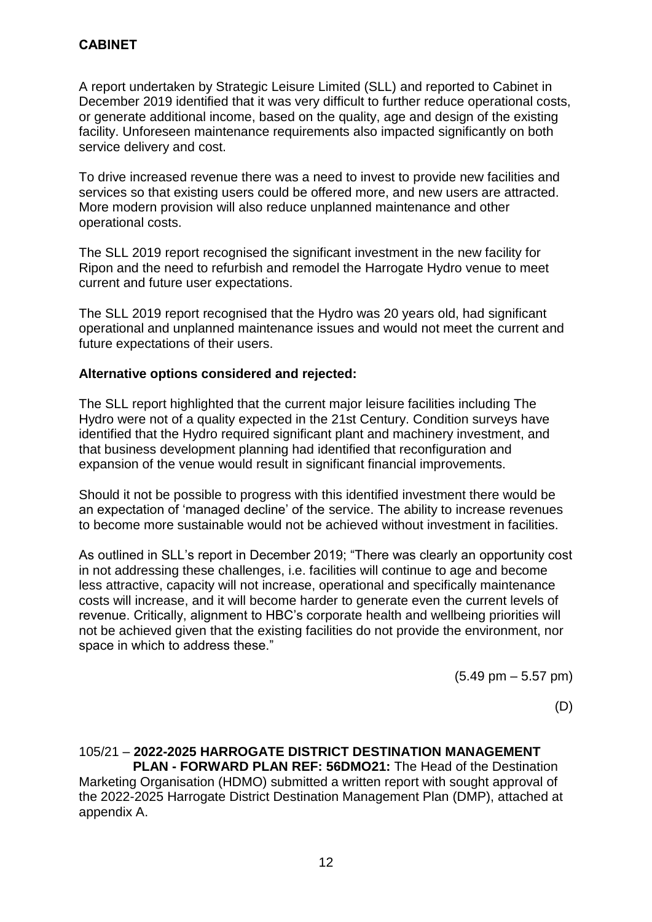A report undertaken by Strategic Leisure Limited (SLL) and reported to Cabinet in December 2019 identified that it was very difficult to further reduce operational costs, or generate additional income, based on the quality, age and design of the existing facility. Unforeseen maintenance requirements also impacted significantly on both service delivery and cost.

To drive increased revenue there was a need to invest to provide new facilities and services so that existing users could be offered more, and new users are attracted. More modern provision will also reduce unplanned maintenance and other operational costs.

The SLL 2019 report recognised the significant investment in the new facility for Ripon and the need to refurbish and remodel the Harrogate Hydro venue to meet current and future user expectations.

The SLL 2019 report recognised that the Hydro was 20 years old, had significant operational and unplanned maintenance issues and would not meet the current and future expectations of their users.

#### **Alternative options considered and rejected:**

The SLL report highlighted that the current major leisure facilities including The Hydro were not of a quality expected in the 21st Century. Condition surveys have identified that the Hydro required significant plant and machinery investment, and that business development planning had identified that reconfiguration and expansion of the venue would result in significant financial improvements.

Should it not be possible to progress with this identified investment there would be an expectation of 'managed decline' of the service. The ability to increase revenues to become more sustainable would not be achieved without investment in facilities.

As outlined in SLL's report in December 2019; "There was clearly an opportunity cost in not addressing these challenges, i.e. facilities will continue to age and become less attractive, capacity will not increase, operational and specifically maintenance costs will increase, and it will become harder to generate even the current levels of revenue. Critically, alignment to HBC's corporate health and wellbeing priorities will not be achieved given that the existing facilities do not provide the environment, nor space in which to address these."

(5.49 pm – 5.57 pm)

(D)

# 105/21 – **2022-2025 HARROGATE DISTRICT DESTINATION MANAGEMENT**

 **PLAN - FORWARD PLAN REF: 56DMO21:** The Head of the Destination Marketing Organisation (HDMO) submitted a written report with sought approval of the 2022-2025 Harrogate District Destination Management Plan (DMP), attached at appendix A.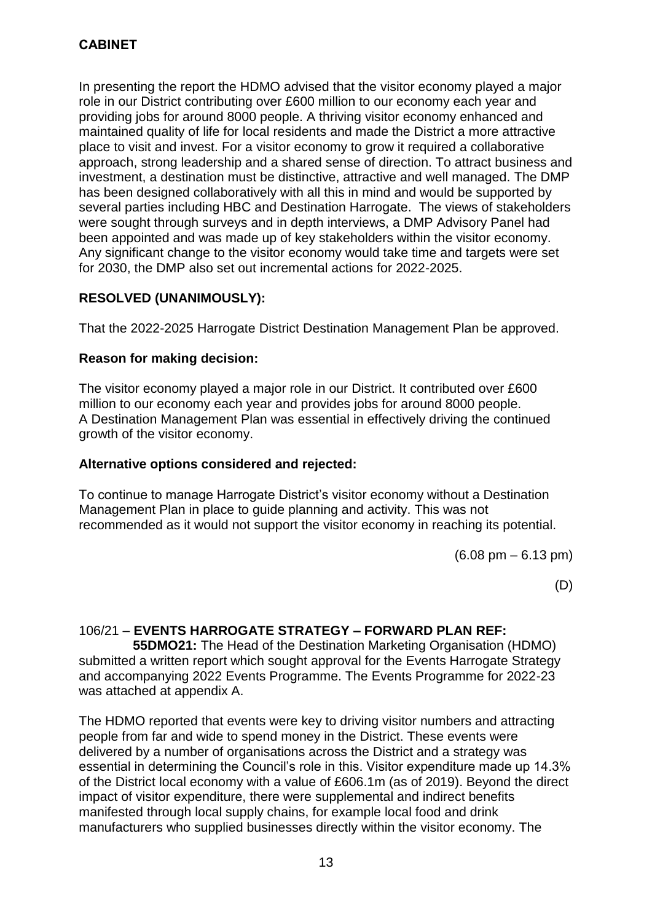In presenting the report the HDMO advised that the visitor economy played a major role in our District contributing over £600 million to our economy each year and providing jobs for around 8000 people. A thriving visitor economy enhanced and maintained quality of life for local residents and made the District a more attractive place to visit and invest. For a visitor economy to grow it required a collaborative approach, strong leadership and a shared sense of direction. To attract business and investment, a destination must be distinctive, attractive and well managed. The DMP has been designed collaboratively with all this in mind and would be supported by several parties including HBC and Destination Harrogate. The views of stakeholders were sought through surveys and in depth interviews, a DMP Advisory Panel had been appointed and was made up of key stakeholders within the visitor economy. Any significant change to the visitor economy would take time and targets were set for 2030, the DMP also set out incremental actions for 2022-2025.

## **RESOLVED (UNANIMOUSLY):**

That the 2022-2025 Harrogate District Destination Management Plan be approved.

#### **Reason for making decision:**

The visitor economy played a major role in our District. It contributed over £600 million to our economy each year and provides jobs for around 8000 people. A Destination Management Plan was essential in effectively driving the continued growth of the visitor economy.

#### **Alternative options considered and rejected:**

To continue to manage Harrogate District's visitor economy without a Destination Management Plan in place to guide planning and activity. This was not recommended as it would not support the visitor economy in reaching its potential.

(6.08 pm – 6.13 pm)

(D)

#### 106/21 – **EVENTS HARROGATE STRATEGY – FORWARD PLAN REF:**

 **55DMO21:** The Head of the Destination Marketing Organisation (HDMO) submitted a written report which sought approval for the Events Harrogate Strategy and accompanying 2022 Events Programme. The Events Programme for 2022-23 was attached at appendix A.

The HDMO reported that events were key to driving visitor numbers and attracting people from far and wide to spend money in the District. These events were delivered by a number of organisations across the District and a strategy was essential in determining the Council's role in this. Visitor expenditure made up 14.3% of the District local economy with a value of £606.1m (as of 2019). Beyond the direct impact of visitor expenditure, there were supplemental and indirect benefits manifested through local supply chains, for example local food and drink manufacturers who supplied businesses directly within the visitor economy. The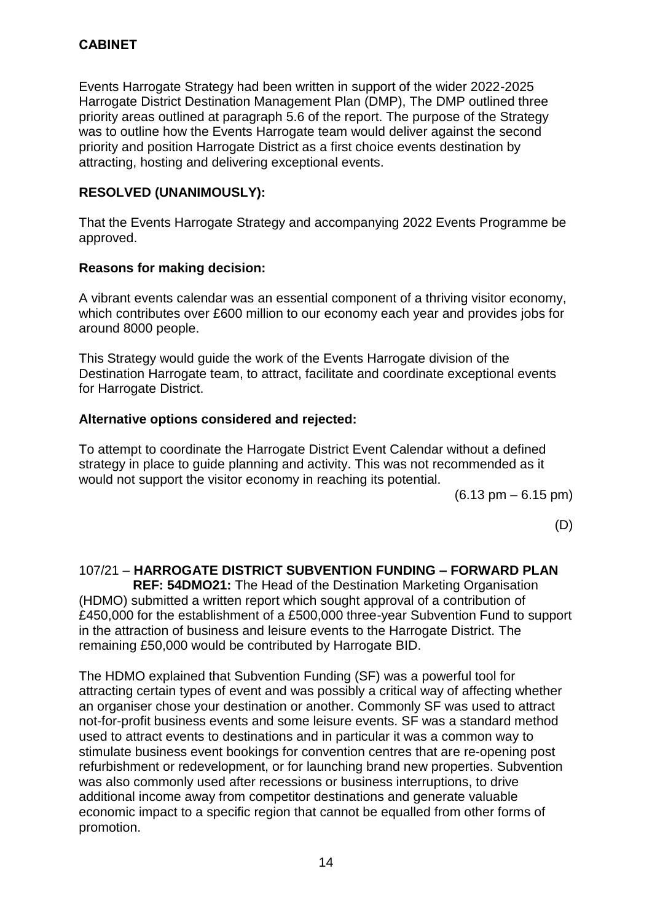Events Harrogate Strategy had been written in support of the wider 2022-2025 Harrogate District Destination Management Plan (DMP), The DMP outlined three priority areas outlined at paragraph 5.6 of the report. The purpose of the Strategy was to outline how the Events Harrogate team would deliver against the second priority and position Harrogate District as a first choice events destination by attracting, hosting and delivering exceptional events.

### **RESOLVED (UNANIMOUSLY):**

That the Events Harrogate Strategy and accompanying 2022 Events Programme be approved.

#### **Reasons for making decision:**

A vibrant events calendar was an essential component of a thriving visitor economy, which contributes over £600 million to our economy each year and provides jobs for around 8000 people.

This Strategy would guide the work of the Events Harrogate division of the Destination Harrogate team, to attract, facilitate and coordinate exceptional events for Harrogate District.

#### **Alternative options considered and rejected:**

To attempt to coordinate the Harrogate District Event Calendar without a defined strategy in place to guide planning and activity. This was not recommended as it would not support the visitor economy in reaching its potential.

(6.13 pm – 6.15 pm)

(D)

## 107/21 – **HARROGATE DISTRICT SUBVENTION FUNDING – FORWARD PLAN**

 **REF: 54DMO21:** The Head of the Destination Marketing Organisation (HDMO) submitted a written report which sought approval of a contribution of £450,000 for the establishment of a £500,000 three-year Subvention Fund to support in the attraction of business and leisure events to the Harrogate District. The remaining £50,000 would be contributed by Harrogate BID.

The HDMO explained that Subvention Funding (SF) was a powerful tool for attracting certain types of event and was possibly a critical way of affecting whether an organiser chose your destination or another. Commonly SF was used to attract not-for-profit business events and some leisure events. SF was a standard method used to attract events to destinations and in particular it was a common way to stimulate business event bookings for convention centres that are re-opening post refurbishment or redevelopment, or for launching brand new properties. Subvention was also commonly used after recessions or business interruptions, to drive additional income away from competitor destinations and generate valuable economic impact to a specific region that cannot be equalled from other forms of promotion.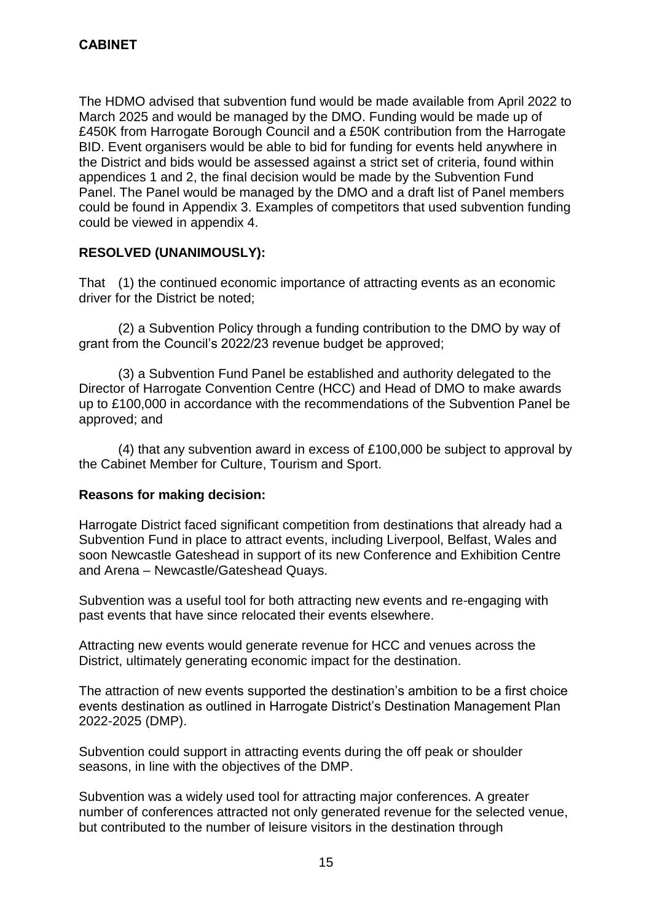The HDMO advised that subvention fund would be made available from April 2022 to March 2025 and would be managed by the DMO. Funding would be made up of £450K from Harrogate Borough Council and a £50K contribution from the Harrogate BID. Event organisers would be able to bid for funding for events held anywhere in the District and bids would be assessed against a strict set of criteria, found within appendices 1 and 2, the final decision would be made by the Subvention Fund Panel. The Panel would be managed by the DMO and a draft list of Panel members could be found in Appendix 3. Examples of competitors that used subvention funding could be viewed in appendix 4.

## **RESOLVED (UNANIMOUSLY):**

That (1) the continued economic importance of attracting events as an economic driver for the District be noted;

(2) a Subvention Policy through a funding contribution to the DMO by way of grant from the Council's 2022/23 revenue budget be approved;

(3) a Subvention Fund Panel be established and authority delegated to the Director of Harrogate Convention Centre (HCC) and Head of DMO to make awards up to £100,000 in accordance with the recommendations of the Subvention Panel be approved; and

(4) that any subvention award in excess of £100,000 be subject to approval by the Cabinet Member for Culture, Tourism and Sport.

#### **Reasons for making decision:**

Harrogate District faced significant competition from destinations that already had a Subvention Fund in place to attract events, including Liverpool, Belfast, Wales and soon Newcastle Gateshead in support of its new Conference and Exhibition Centre and Arena – Newcastle/Gateshead Quays.

Subvention was a useful tool for both attracting new events and re-engaging with past events that have since relocated their events elsewhere.

Attracting new events would generate revenue for HCC and venues across the District, ultimately generating economic impact for the destination.

The attraction of new events supported the destination's ambition to be a first choice events destination as outlined in Harrogate District's Destination Management Plan 2022-2025 (DMP).

Subvention could support in attracting events during the off peak or shoulder seasons, in line with the objectives of the DMP.

Subvention was a widely used tool for attracting major conferences. A greater number of conferences attracted not only generated revenue for the selected venue, but contributed to the number of leisure visitors in the destination through